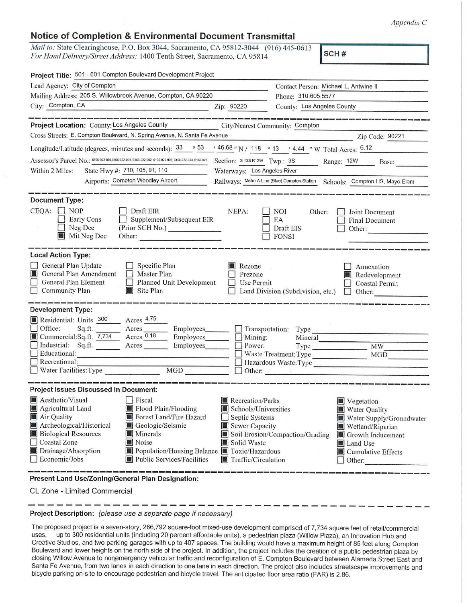*Appendix C* 

## **Notice of Completion & Environmental Document Transmittal**

Mail to: State Clearinghouse, P.O. Box 3044, Sacramento, CA 95812-3044 (916) 445-0613 *For Hand Delivery/Street Address:* 1400 Tenth Street, Sacramento, CA 95814 **SCH #** 

| Project Title: 501 - 601 Compton Boulevard Development Project                                                                                                                                                                                                                                                                                                       |                                                                                                                    |                                                                  |                                                                                                                                              |  |
|----------------------------------------------------------------------------------------------------------------------------------------------------------------------------------------------------------------------------------------------------------------------------------------------------------------------------------------------------------------------|--------------------------------------------------------------------------------------------------------------------|------------------------------------------------------------------|----------------------------------------------------------------------------------------------------------------------------------------------|--|
| Lead Agency: City of Compton                                                                                                                                                                                                                                                                                                                                         | Contact Person: Michael L. Antwine II                                                                              |                                                                  |                                                                                                                                              |  |
| Mailing Address: 205 S. Willowbrook Avenue, Compton, CA 90220                                                                                                                                                                                                                                                                                                        |                                                                                                                    | Phone: 310.605.5577                                              |                                                                                                                                              |  |
| City: Compton, CA<br><u> 1989 - Johann Barn, mars ann an t-Amhraich ann an t-Amhraich ann an t-Amhraich ann an t-Amhraich ann an t-Amhraich ann an t-Amhraich ann an t-Amhraich ann an t-Amhraich ann an t-Amhraich ann an t-Amhraich ann an t-Amhrai</u>                                                                                                            | Zip: 90220                                                                                                         |                                                                  | County: Los Angeles County                                                                                                                   |  |
| Project Location: County: Los Angeles County City/Nearest Community: Compton                                                                                                                                                                                                                                                                                         |                                                                                                                    |                                                                  |                                                                                                                                              |  |
| Cross Streets: E. Compton Boulevard, N. Spring Avenue, N. Santa Fe Avenue                                                                                                                                                                                                                                                                                            |                                                                                                                    |                                                                  | Zip Code: 90221                                                                                                                              |  |
| Longitude/Latitude (degrees, minutes and seconds): $33 \cdot 53$ / 46.68 " N / 118 ° 13 / 4.44 " W Total Acres: $6.12$                                                                                                                                                                                                                                               |                                                                                                                    |                                                                  |                                                                                                                                              |  |
| Assessor's Parcel No.: 6166-022-900,6166-022-901, 6166-022-902, 6166-022-903, 6166-022-904, 6166-022                                                                                                                                                                                                                                                                 |                                                                                                                    |                                                                  | Section: ST3SR12W Twp.: 3S Range: 12W Base:                                                                                                  |  |
| State Hwy #: 710, 105, 91, 110<br>Within 2 Miles:                                                                                                                                                                                                                                                                                                                    | Waterways: Los Angeles River                                                                                       |                                                                  |                                                                                                                                              |  |
| Airports: Compton Woodley Airport                                                                                                                                                                                                                                                                                                                                    |                                                                                                                    |                                                                  | Railways: Metro A Line (Blue) Compton Station Schools: Compton HS, Mayo Elem                                                                 |  |
| <b>Document Type:</b><br>$CEQA: \Box NP$<br>Draft EIR<br>$\Box$ Supplement/Subsequent EIR<br><b>Early Cons</b><br>Neg Dec<br>(Prior SCH No.) ________________<br>Mit Neg Dec<br>Other:                                                                                                                                                                               | NEPA:                                                                                                              | <b>NOI</b><br>Other:<br>EA<br>Draft EIS<br><b>FONSI</b>          | Joint Document<br>Final Document<br>Other:                                                                                                   |  |
| <b>Local Action Type:</b><br>General Plan Update<br>$\Box$ Specific Plan<br>General Plan Amendment   Master Plan<br>General Plan Element<br>Planned Unit Development<br>$\Box$<br>Community Plan<br>Site Plan                                                                                                                                                        | Rezone<br>Prezone<br>$\vert$ $\vert$<br>Use Permit                                                                 | Land Division (Subdivision, etc.)                                | Annexation<br>Redevelopment<br><b>Coastal Permit</b><br>Other:                                                                               |  |
| <b>Development Type:</b>                                                                                                                                                                                                                                                                                                                                             |                                                                                                                    |                                                                  |                                                                                                                                              |  |
| Acres <sub>4.75</sub><br>Residential: Units 300<br>Office:<br>Sq.ft.<br>Acres<br>Employees_______<br>Acres 0.18<br>Commercial:Sq.ft. 7,734<br>Employees_______<br>Industrial: Sq.ft.<br>Acres<br>Employees_______<br>$\Box$ Educational:<br><u>entry the conditions and conditions are a</u><br>$\Box$ Recreational:<br>MGD<br>Water Facilities: Type                | $\Box$ Mining:<br>Power:                                                                                           | Transportation: Type<br>Waste Treatment: Type<br>Other: Web 1988 | Mineral <u>Communication</u><br>MW<br>MGD<br>and the company of the company of<br>Hazardous Waste:Type                                       |  |
| <b>Project Issues Discussed in Document:</b>                                                                                                                                                                                                                                                                                                                         |                                                                                                                    |                                                                  |                                                                                                                                              |  |
| Aesthetic/Visual<br>$ $ Fiscal<br>Flood Plain/Flooding<br>Agricultural Land<br>Air Quality<br>Forest Land/Fire Hazard<br>Archeological/Historical<br>Geologic/Seismic<br><b>Biological Resources</b><br>Minerals<br>Coastal Zone<br>Noise<br>Drainage/Absorption<br>Population/Housing Balance Toxic/Hazardous<br>$\Box$ Economic/Jobs<br>Public Services/Facilities | Recreation/Parks<br>Schools/Universities<br>Septic Systems<br>Sewer Capacity<br>Solid Waste<br>Traffic/Circulation | Soil Erosion/Compaction/Grading                                  | Vegetation<br>Water Quality<br>Water Supply/Groundwater<br>Wetland/Riparian<br>Growth Inducement<br>Land Use<br>Cumulative Effects<br>Other: |  |
| Present Land Use/Zoning/General Plan Designation:                                                                                                                                                                                                                                                                                                                    |                                                                                                                    |                                                                  |                                                                                                                                              |  |

CL Zone - Limited Commercial

## ------------------------------------------- **Project Description:** (please use a separate page if necessary)

The proposed project is a seven-story, 266,792 square-foot mixed-use development comprised of 7,734 square feet of retail/commercial uses, up to 300 residential units (including 20 percent affordable units), a pedestrian plaza (Willow Plaza), an Innovation Hub and Creative Studios, and two parking garages with up to 407 spaces. The building would have a maximum height of 85 feet along Compton Boulevard and lower heights on the north side of the project. In addition, the project includes the creation of a public pedestrian plaza by closing Willow Avenue to nonemergency vehicular traffic and reconfiguration of E. Compton Boulevard between Alameda Street East and Santa Fe Avenue, from two lanes in each direction to one lane in each direction. The project also includes streetscape improvements and bicycle parking on-site to encourage pedestrian and bicycle travel. The anticipated floor area ratio (FAR) is 2.86.